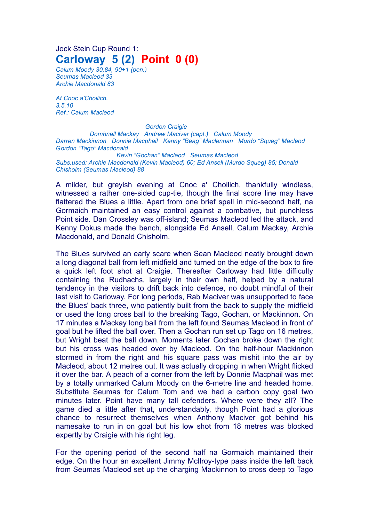## Jock Stein Cup Round 1: **Carloway 5 (2) Point 0 (0)**

*Calum Moody 30,84, 90+1 (pen.) Seumas Macleod 33 Archie Macdonald 83*

*At Cnoc a'Choilich. 3.5.10 Ref.: Calum Macleod*

*Gordon Craigie Domhnall Mackay Andrew Maciver (capt.) Calum Moody Darren Mackinnon Donnie Macphail Kenny "Beag" Maclennan Murdo "Squeg" Macleod Gordon "Tago" Macdonald Kevin "Gochan" Macleod Seumas Macleod Subs.used: Archie Macdonald (Kevin Macleod) 60; Ed Ansell (Murdo Squeg) 85; Donald Chisholm (Seumas Macleod) 88*

A milder, but greyish evening at Cnoc a' Choilich, thankfully windless, witnessed a rather one-sided cup-tie, though the final score line may have flattered the Blues a little. Apart from one brief spell in mid-second half, na Gormaich maintained an easy control against a combative, but punchless Point side. Dan Crossley was off-island; Seumas Macleod led the attack, and Kenny Dokus made the bench, alongside Ed Ansell, Calum Mackay, Archie Macdonald, and Donald Chisholm.

The Blues survived an early scare when Sean Macleod neatly brought down a long diagonal ball from left midfield and turned on the edge of the box to fire a quick left foot shot at Craigie. Thereafter Carloway had little difficulty containing the Rudhachs, largely in their own half, helped by a natural tendency in the visitors to drift back into defence, no doubt mindful of their last visit to Carloway. For long periods, Rab Maciver was unsupported to face the Blues' back three, who patiently built from the back to supply the midfield or used the long cross ball to the breaking Tago, Gochan, or Mackinnon. On 17 minutes a Mackay long ball from the left found Seumas Macleod in front of goal but he lifted the ball over. Then a Gochan run set up Tago on 16 metres, but Wright beat the ball down. Moments later Gochan broke down the right but his cross was headed over by Macleod. On the half-hour Mackinnon stormed in from the right and his square pass was mishit into the air by Macleod, about 12 metres out. It was actually dropping in when Wright flicked it over the bar. A peach of a corner from the left by Donnie Macphail was met by a totally unmarked Calum Moody on the 6-metre line and headed home. Substitute Seumas for Calum Tom and we had a carbon copy goal two minutes later. Point have many tall defenders. Where were they all? The game died a little after that, understandably, though Point had a glorious chance to resurrect themselves when Anthony Maciver got behind his namesake to run in on goal but his low shot from 18 metres was blocked expertly by Craigie with his right leg.

For the opening period of the second half na Gormaich maintained their edge. On the hour an excellent Jimmy McIlroy-type pass inside the left back from Seumas Macleod set up the charging Mackinnon to cross deep to Tago